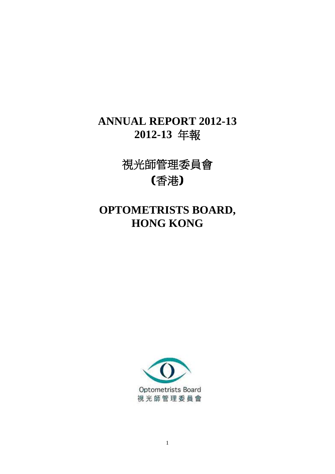## **ANNUAL REPORT 2012-13 2012-13** 年報

視光師管理委員會 (香港)

# **OPTOMETRISTS BOARD, HONG KONG**

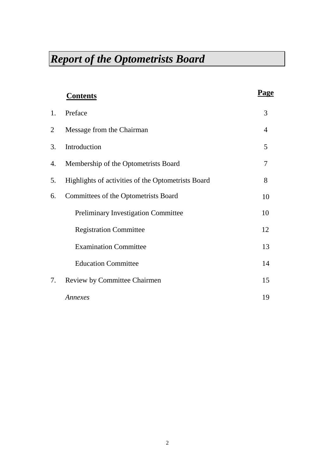|    | <b>Contents</b>                                    | Page |
|----|----------------------------------------------------|------|
| 1. | Preface                                            | 3    |
| 2  | Message from the Chairman                          | 4    |
| 3. | Introduction                                       | 5    |
| 4. | Membership of the Optometrists Board               | 7    |
| 5. | Highlights of activities of the Optometrists Board | 8    |
| 6. | Committees of the Optometrists Board               | 10   |
|    | <b>Preliminary Investigation Committee</b>         | 10   |
|    | <b>Registration Committee</b>                      | 12   |
|    | <b>Examination Committee</b>                       | 13   |
|    | <b>Education Committee</b>                         | 14   |
| 7. | <b>Review by Committee Chairmen</b>                | 15   |
|    | Annexes                                            | 19   |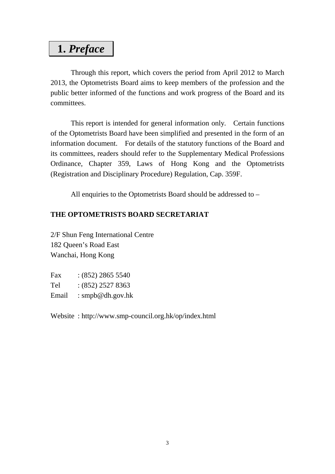## **1.** *Preface*

Through this report, which covers the period from April 2012 to March 2013, the Optometrists Board aims to keep members of the profession and the public better informed of the functions and work progress of the Board and its committees.

This report is intended for general information only. Certain functions of the Optometrists Board have been simplified and presented in the form of an information document. For details of the statutory functions of the Board and its committees, readers should refer to the Supplementary Medical Professions Ordinance, Chapter 359, Laws of Hong Kong and the Optometrists (Registration and Disciplinary Procedure) Regulation, Cap. 359F.

All enquiries to the Optometrists Board should be addressed to –

## **THE OPTOMETRISTS BOARD SECRETARIAT**

2/F Shun Feng International Centre 182 Queen's Road East Wanchai, Hong Kong

| Fax   | $(852)$ 2865 5540 |
|-------|-------------------|
| Tel   | $(852)$ 2527 8363 |
| Email | : smpb@dh.gov.hk  |

Website : http://www.smp-council.org.hk/op/index.html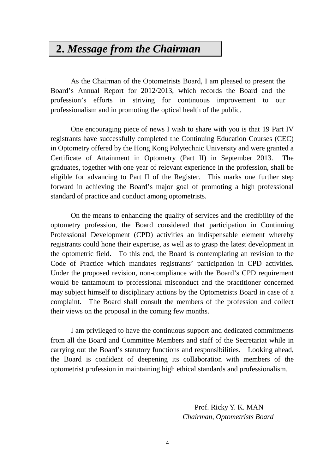## **2.** *Message from the Chairman*

As the Chairman of the Optometrists Board, I am pleased to present the Board's Annual Report for 2012/2013, which records the Board and the profession's efforts in striving for continuous improvement to our professionalism and in promoting the optical health of the public.

One encouraging piece of news I wish to share with you is that 19 Part IV registrants have successfully completed the Continuing Education Courses (CEC) in Optometry offered by the Hong Kong Polytechnic University and were granted a Certificate of Attainment in Optometry (Part II) in September 2013. The graduates, together with one year of relevant experience in the profession, shall be eligible for advancing to Part II of the Register. This marks one further step forward in achieving the Board's major goal of promoting a high professional standard of practice and conduct among optometrists.

On the means to enhancing the quality of services and the credibility of the optometry profession, the Board considered that participation in Continuing Professional Development (CPD) activities an indispensable element whereby registrants could hone their expertise, as well as to grasp the latest development in the optometric field. To this end, the Board is contemplating an revision to the Code of Practice which mandates registrants' participation in CPD activities. Under the proposed revision, non-compliance with the Board's CPD requirement would be tantamount to professional misconduct and the practitioner concerned may subject himself to disciplinary actions by the Optometrists Board in case of a complaint. The Board shall consult the members of the profession and collect their views on the proposal in the coming few months.

I am privileged to have the continuous support and dedicated commitments from all the Board and Committee Members and staff of the Secretariat while in carrying out the Board's statutory functions and responsibilities. Looking ahead, the Board is confident of deepening its collaboration with members of the optometrist profession in maintaining high ethical standards and professionalism.

> Prof. Ricky Y. K. MAN *Chairman, Optometrists Board*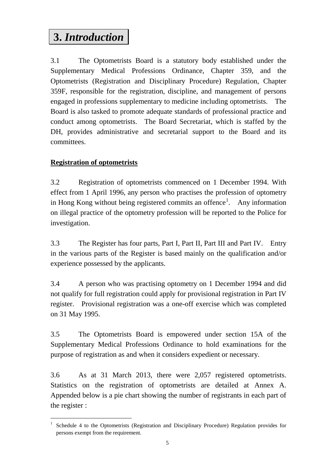# **3.** *Introduction*

3.1 The Optometrists Board is a statutory body established under the Supplementary Medical Professions Ordinance, Chapter 359, and the Optometrists (Registration and Disciplinary Procedure) Regulation, Chapter 359F, responsible for the registration, discipline, and management of persons engaged in professions supplementary to medicine including optometrists. The Board is also tasked to promote adequate standards of professional practice and conduct among optometrists. The Board Secretariat, which is staffed by the DH, provides administrative and secretarial support to the Board and its committees.

## **Registration of optometrists**

 $\overline{a}$ 

3.2 Registration of optometrists commenced on 1 December 1994. With effect from 1 April 1996, any person who practises the profession of optometry in Hong Kong without being registered commits an offence<sup>[1](#page-4-0)</sup>. Any information on illegal practice of the optometry profession will be reported to the Police for investigation.

3.3 The Register has four parts, Part I, Part II, Part III and Part IV. Entry in the various parts of the Register is based mainly on the qualification and/or experience possessed by the applicants.

3.4 A person who was practising optometry on 1 December 1994 and did not qualify for full registration could apply for provisional registration in Part IV register. Provisional registration was a one-off exercise which was completed on 31 May 1995.

3.5 The Optometrists Board is empowered under section 15A of the Supplementary Medical Professions Ordinance to hold examinations for the purpose of registration as and when it considers expedient or necessary.

3.6 As at 31 March 2013, there were 2,057 registered optometrists. Statistics on the registration of optometrists are detailed at Annex A. Appended below is a pie chart showing the number of registrants in each part of the register :

<span id="page-4-0"></span><sup>&</sup>lt;sup>1</sup> Schedule 4 to the Optometrists (Registration and Disciplinary Procedure) Regulation provides for persons exempt from the requirement.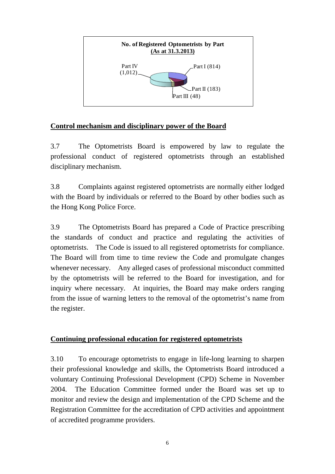

## **Control mechanism and disciplinary power of the Board**

3.7 The Optometrists Board is empowered by law to regulate the professional conduct of registered optometrists through an established disciplinary mechanism.

3.8 Complaints against registered optometrists are normally either lodged with the Board by individuals or referred to the Board by other bodies such as the Hong Kong Police Force.

3.9 The Optometrists Board has prepared a Code of Practice prescribing the standards of conduct and practice and regulating the activities of optometrists. The Code is issued to all registered optometrists for compliance. The Board will from time to time review the Code and promulgate changes whenever necessary. Any alleged cases of professional misconduct committed by the optometrists will be referred to the Board for investigation, and for inquiry where necessary. At inquiries, the Board may make orders ranging from the issue of warning letters to the removal of the optometrist's name from the register.

### **Continuing professional education for registered optometrists**

3.10 To encourage optometrists to engage in life-long learning to sharpen their professional knowledge and skills, the Optometrists Board introduced a voluntary Continuing Professional Development (CPD) Scheme in November 2004. The Education Committee formed under the Board was set up to monitor and review the design and implementation of the CPD Scheme and the Registration Committee for the accreditation of CPD activities and appointment of accredited programme providers.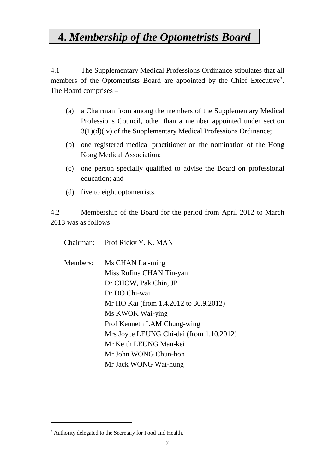## **4.** *Membership of the Optometrists Board*

4.1 The Supplementary Medical Professions Ordinance stipulates that all members of the Optometrists Board are appointed by the Chief Executive<sup>\*</sup>. The Board comprises –

- (a) a Chairman from among the members of the Supplementary Medical Professions Council, other than a member appointed under section  $3(1)(d)(iv)$  of the Supplementary Medical Professions Ordinance;
- (b) one registered medical practitioner on the nomination of the Hong Kong Medical Association;
- (c) one person specially qualified to advise the Board on professional education; and
- (d) five to eight optometrists.

4.2 Membership of the Board for the period from April 2012 to March 2013 was as follows –

Chairman: Prof Ricky Y. K. MAN

Members: Ms CHAN Lai-ming Miss Rufina CHAN Tin-yan Dr CHOW, Pak Chin, JP Dr DO Chi-wai Mr HO Kai (from 1.4.2012 to 30.9.2012) Ms KWOK Wai-ying Prof Kenneth LAM Chung-wing Mrs Joyce LEUNG Chi-dai (from 1.10.2012) Mr Keith LEUNG Man-kei Mr John WONG Chun-hon Mr Jack WONG Wai-hung

 $\overline{a}$ 

<span id="page-6-0"></span><sup>∗</sup> Authority delegated to the Secretary for Food and Health.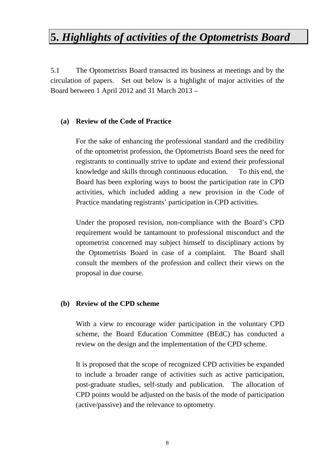# **5.** *Highlights of activities of the Optometrists Board*

5.1 The Optometrists Board transacted its business at meetings and by the circulation of papers. Set out below is a highlight of major activities of the Board between 1 April 2012 and 31 March 2013 –

#### **(a) Review of the Code of Practice**

For the sake of enhancing the professional standard and the credibility of the optometrist profession, the Optometrists Board sees the need for registrants to continually strive to update and extend their professional knowledge and skills through continuous education. To this end, the Board has been exploring ways to boost the participation rate in CPD activities, which included adding a new provision in the Code of Practice mandating registrants' participation in CPD activities.

Under the proposed revision, non-compliance with the Board's CPD requirement would be tantamount to professional misconduct and the optometrist concerned may subject himself to disciplinary actions by the Optometrists Board in case of a complaint. The Board shall consult the members of the profession and collect their views on the proposal in due course.

#### **(b) Review of the CPD scheme**

With a view to encourage wider participation in the voluntary CPD scheme, the Board Education Committee (BEdC) has conducted a review on the design and the implementation of the CPD scheme.

It is proposed that the scope of recognized CPD activities be expanded to include a broader range of activities such as active participation, post-graduate studies, self-study and publication. The allocation of CPD points would be adjusted on the basis of the mode of participation (active/passive) and the relevance to optometry.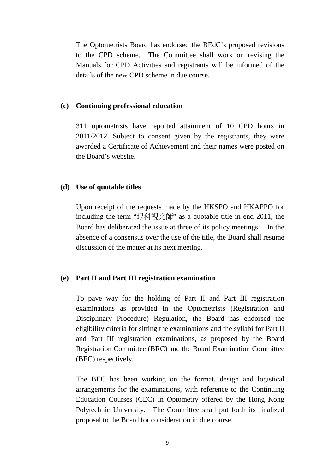The Optometrists Board has endorsed the BEdC's proposed revisions to the CPD scheme. The Committee shall work on revising the Manuals for CPD Activities and registrants will be informed of the details of the new CPD scheme in due course.

#### **(c) Continuing professional education**

311 optometrists have reported attainment of 10 CPD hours in 2011/2012. Subject to consent given by the registrants, they were awarded a Certificate of Achievement and their names were posted on the Board's website.

#### **(d) Use of quotable titles**

Upon receipt of the requests made by the HKSPO and HKAPPO for including the term "眼科視光師" as a quotable title in end 2011, the Board has deliberated the issue at three of its policy meetings. In the absence of a consensus over the use of the title, the Board shall resume discussion of the matter at its next meeting.

#### **(e) Part II and Part III registration examination**

To pave way for the holding of Part II and Part III registration examinations as provided in the Optometrists (Registration and Disciplinary Procedure) Regulation, the Board has endorsed the eligibility criteria for sitting the examinations and the syllabi for Part II and Part III registration examinations, as proposed by the Board Registration Committee (BRC) and the Board Examination Committee (BEC) respectively.

The BEC has been working on the format, design and logistical arrangements for the examinations, with reference to the Continuing Education Courses (CEC) in Optometry offered by the Hong Kong Polytechnic University. The Committee shall put forth its finalized proposal to the Board for consideration in due course.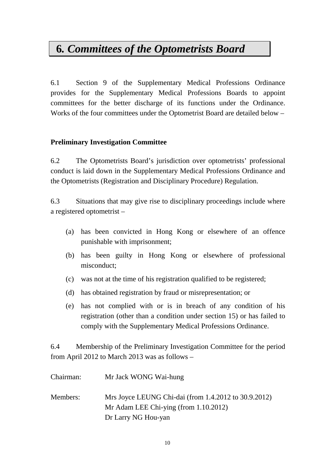# **6***. Committees of the Optometrists Board*

6.1 Section 9 of the Supplementary Medical Professions Ordinance provides for the Supplementary Medical Professions Boards to appoint committees for the better discharge of its functions under the Ordinance. Works of the four committees under the Optometrist Board are detailed below –

## **Preliminary Investigation Committee**

6.2 The Optometrists Board's jurisdiction over optometrists' professional conduct is laid down in the Supplementary Medical Professions Ordinance and the Optometrists (Registration and Disciplinary Procedure) Regulation.

6.3 Situations that may give rise to disciplinary proceedings include where a registered optometrist –

- (a) has been convicted in Hong Kong or elsewhere of an offence punishable with imprisonment;
- (b) has been guilty in Hong Kong or elsewhere of professional misconduct;
- (c) was not at the time of his registration qualified to be registered;
- (d) has obtained registration by fraud or misrepresentation; or
- (e) has not complied with or is in breach of any condition of his registration (other than a condition under section 15) or has failed to comply with the Supplementary Medical Professions Ordinance.

6.4 Membership of the Preliminary Investigation Committee for the period from April 2012 to March 2013 was as follows –

| Chairman: | Mr Jack WONG Wai-hung                                                                            |
|-----------|--------------------------------------------------------------------------------------------------|
| Members:  | Mrs Joyce LEUNG Chi-dai (from 1.4.2012 to 30.9.2012)<br>Mr Adam LEE Chi-ying (from $1.10.2012$ ) |
|           | Dr Larry NG Hou-yan                                                                              |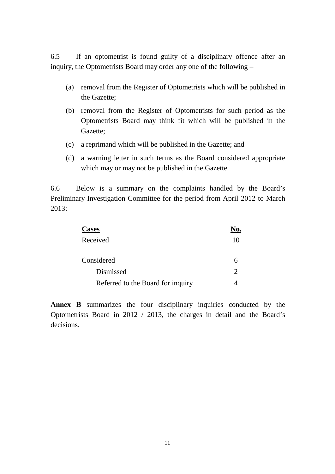6.5 If an optometrist is found guilty of a disciplinary offence after an inquiry, the Optometrists Board may order any one of the following –

- (a) removal from the Register of Optometrists which will be published in the Gazette;
- (b) removal from the Register of Optometrists for such period as the Optometrists Board may think fit which will be published in the Gazette;
- (c) a reprimand which will be published in the Gazette; and
- (d) a warning letter in such terms as the Board considered appropriate which may or may not be published in the Gazette.

6.6 Below is a summary on the complaints handled by the Board's Preliminary Investigation Committee for the period from April 2012 to March 2013:

| <b>Cases</b>                      |    |
|-----------------------------------|----|
| Received                          | 10 |
| Considered                        |    |
| Dismissed                         |    |
| Referred to the Board for inquiry |    |

**Annex B** summarizes the four disciplinary inquiries conducted by the Optometrists Board in 2012 / 2013, the charges in detail and the Board's decisions.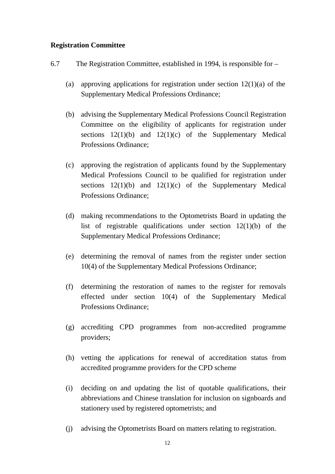### **Registration Committee**

- 6.7 The Registration Committee, established in 1994, is responsible for
	- (a) approving applications for registration under section  $12(1)(a)$  of the Supplementary Medical Professions Ordinance;
	- (b) advising the Supplementary Medical Professions Council Registration Committee on the eligibility of applicants for registration under sections  $12(1)(b)$  and  $12(1)(c)$  of the Supplementary Medical Professions Ordinance;
	- (c) approving the registration of applicants found by the Supplementary Medical Professions Council to be qualified for registration under sections  $12(1)(b)$  and  $12(1)(c)$  of the Supplementary Medical Professions Ordinance;
	- (d) making recommendations to the Optometrists Board in updating the list of registrable qualifications under section 12(1)(b) of the Supplementary Medical Professions Ordinance;
	- (e) determining the removal of names from the register under section 10(4) of the Supplementary Medical Professions Ordinance;
	- (f) determining the restoration of names to the register for removals effected under section 10(4) of the Supplementary Medical Professions Ordinance;
	- (g) accrediting CPD programmes from non-accredited programme providers;
	- (h) vetting the applications for renewal of accreditation status from accredited programme providers for the CPD scheme
	- (i) deciding on and updating the list of quotable qualifications, their abbreviations and Chinese translation for inclusion on signboards and stationery used by registered optometrists; and
	- (j) advising the Optometrists Board on matters relating to registration.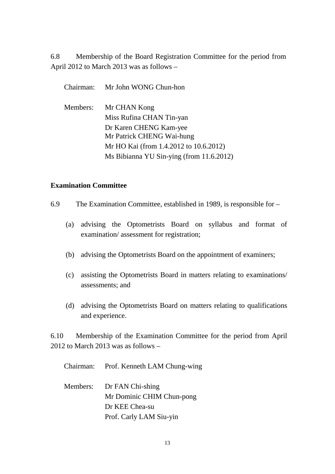6.8 Membership of the Board Registration Committee for the period from April 2012 to March 2013 was as follows –

Chairman: Mr John WONG Chun-hon Members: Mr CHAN Kong Miss Rufina CHAN Tin-yan Dr Karen CHENG Kam-yee Mr Patrick CHENG Wai-hung Mr HO Kai (from 1.4.2012 to 10.6.2012) Ms Bibianna YU Sin-ying (from 11.6.2012)

#### **Examination Committee**

- 6.9 The Examination Committee, established in 1989, is responsible for
	- (a) advising the Optometrists Board on syllabus and format of examination/ assessment for registration;
	- (b) advising the Optometrists Board on the appointment of examiners;
	- (c) assisting the Optometrists Board in matters relating to examinations/ assessments; and
	- (d) advising the Optometrists Board on matters relating to qualifications and experience.

6.10 Membership of the Examination Committee for the period from April 2012 to March 2013 was as follows –

Chairman: Prof. Kenneth LAM Chung-wing

Members: Dr FAN Chi-shing Mr Dominic CHIM Chun-pong Dr KEE Chea-su Prof. Carly LAM Siu-yin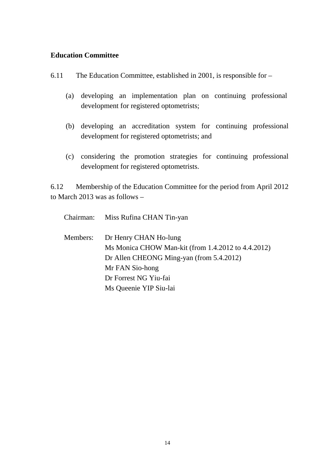### **Education Committee**

- 6.11 The Education Committee, established in 2001, is responsible for
	- (a) developing an implementation plan on continuing professional development for registered optometrists;
	- (b) developing an accreditation system for continuing professional development for registered optometrists; and
	- (c) considering the promotion strategies for continuing professional development for registered optometrists.

6.12 Membership of the Education Committee for the period from April 2012 to March 2013 was as follows –

|          | Chairman: Miss Rufina CHAN Tin-yan                 |
|----------|----------------------------------------------------|
| Members: | Dr Henry CHAN Ho-lung                              |
|          | Ms Monica CHOW Man-kit (from 1.4.2012 to 4.4.2012) |
|          | Dr Allen CHEONG Ming-yan (from 5.4.2012)           |
|          | Mr FAN Sio-hong                                    |
|          | Dr Forrest NG Yiu-fai                              |
|          | Ms Queenie YIP Siu-lai                             |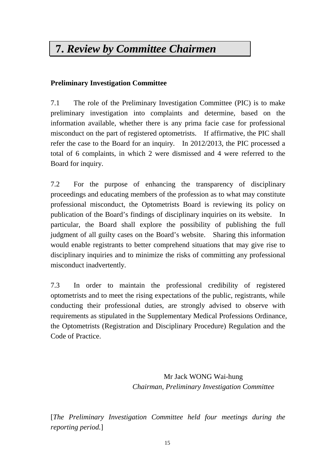# **7.** *Review by Committee Chairmen*

## **Preliminary Investigation Committee**

7.1 The role of the Preliminary Investigation Committee (PIC) is to make preliminary investigation into complaints and determine, based on the information available, whether there is any prima facie case for professional misconduct on the part of registered optometrists. If affirmative, the PIC shall refer the case to the Board for an inquiry. In 2012/2013, the PIC processed a total of 6 complaints, in which 2 were dismissed and 4 were referred to the Board for inquiry.

7.2 For the purpose of enhancing the transparency of disciplinary proceedings and educating members of the profession as to what may constitute professional misconduct, the Optometrists Board is reviewing its policy on publication of the Board's findings of disciplinary inquiries on its website. In particular, the Board shall explore the possibility of publishing the full judgment of all guilty cases on the Board's website. Sharing this information would enable registrants to better comprehend situations that may give rise to disciplinary inquiries and to minimize the risks of committing any professional misconduct inadvertently.

7.3 In order to maintain the professional credibility of registered optometrists and to meet the rising expectations of the public, registrants, while conducting their professional duties, are strongly advised to observe with requirements as stipulated in the Supplementary Medical Professions Ordinance, the Optometrists (Registration and Disciplinary Procedure) Regulation and the Code of Practice.

> Mr Jack WONG Wai-hung *Chairman, Preliminary Investigation Committee*

[*The Preliminary Investigation Committee held four meetings during the reporting period.*]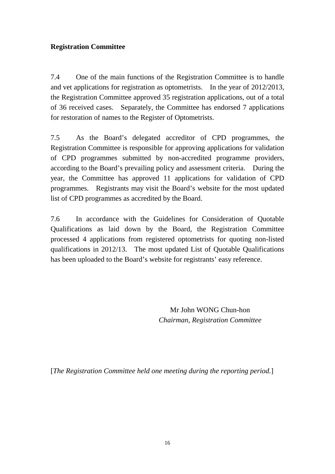## **Registration Committee**

7.4 One of the main functions of the Registration Committee is to handle and vet applications for registration as optometrists. In the year of 2012/2013, the Registration Committee approved 35 registration applications, out of a total of 36 received cases. Separately, the Committee has endorsed 7 applications for restoration of names to the Register of Optometrists.

7.5 As the Board's delegated accreditor of CPD programmes, the Registration Committee is responsible for approving applications for validation of CPD programmes submitted by non-accredited programme providers, according to the Board's prevailing policy and assessment criteria. During the year, the Committee has approved 11 applications for validation of CPD programmes. Registrants may visit the Board's website for the most updated list of CPD programmes as accredited by the Board.

7.6 In accordance with the Guidelines for Consideration of Quotable Qualifications as laid down by the Board, the Registration Committee processed 4 applications from registered optometrists for quoting non-listed qualifications in 2012/13. The most updated List of Quotable Qualifications has been uploaded to the Board's website for registrants' easy reference.

> Mr John WONG Chun-hon *Chairman, Registration Committee*

[*The Registration Committee held one meeting during the reporting period.*]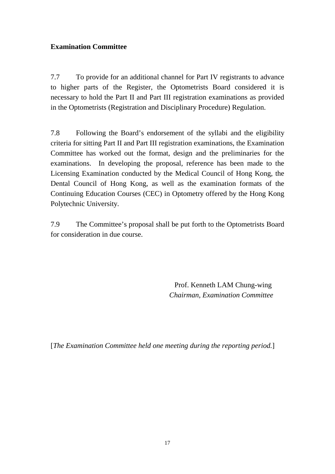### **Examination Committee**

7.7 To provide for an additional channel for Part IV registrants to advance to higher parts of the Register, the Optometrists Board considered it is necessary to hold the Part II and Part III registration examinations as provided in the Optometrists (Registration and Disciplinary Procedure) Regulation.

7.8 Following the Board's endorsement of the syllabi and the eligibility criteria for sitting Part II and Part III registration examinations, the Examination Committee has worked out the format, design and the preliminaries for the examinations. In developing the proposal, reference has been made to the Licensing Examination conducted by the Medical Council of Hong Kong, the Dental Council of Hong Kong, as well as the examination formats of the Continuing Education Courses (CEC) in Optometry offered by the Hong Kong Polytechnic University.

7.9 The Committee's proposal shall be put forth to the Optometrists Board for consideration in due course.

> Prof. Kenneth LAM Chung-wing *Chairman, Examination Committee*

[*The Examination Committee held one meeting during the reporting period.*]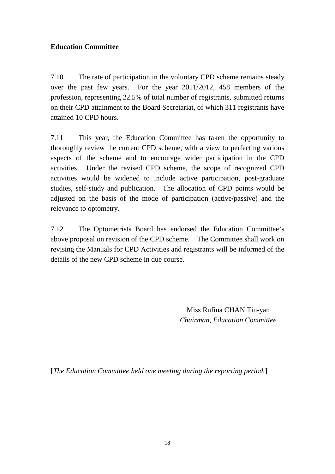## **Education Committee**

7.10 The rate of participation in the voluntary CPD scheme remains steady over the past few years. For the year 2011/2012, 458 members of the profession, representing 22.5% of total number of registrants, submitted returns on their CPD attainment to the Board Secretariat, of which 311 registrants have attained 10 CPD hours.

7.11 This year, the Education Committee has taken the opportunity to thoroughly review the current CPD scheme, with a view to perfecting various aspects of the scheme and to encourage wider participation in the CPD activities. Under the revised CPD scheme, the scope of recognized CPD activities would be widened to include active participation, post-graduate studies, self-study and publication. The allocation of CPD points would be adjusted on the basis of the mode of participation (active/passive) and the relevance to optometry.

7.12 The Optometrists Board has endorsed the Education Committee's above proposal on revision of the CPD scheme. The Committee shall work on revising the Manuals for CPD Activities and registrants will be informed of the details of the new CPD scheme in due course.

> Miss Rufina CHAN Tin-yan *Chairman, Education Committee*

[*The Education Committee held one meeting during the reporting period.*]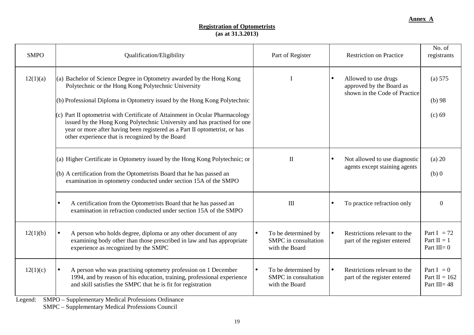#### **Registration of Optometrists (as at 31.3.2013)**

| <b>SMPO</b> | Qualification/Eligibility                                                                                                                                                                                                                                                                                                                                                                                                                                                                                 | Part of Register                                              | <b>Restriction on Practice</b>                                                                 | No. of<br>registrants                              |
|-------------|-----------------------------------------------------------------------------------------------------------------------------------------------------------------------------------------------------------------------------------------------------------------------------------------------------------------------------------------------------------------------------------------------------------------------------------------------------------------------------------------------------------|---------------------------------------------------------------|------------------------------------------------------------------------------------------------|----------------------------------------------------|
| 12(1)(a)    | (a) Bachelor of Science Degree in Optometry awarded by the Hong Kong<br>Polytechnic or the Hong Kong Polytechnic University<br>(b) Professional Diploma in Optometry issued by the Hong Kong Polytechnic<br>$(c)$ Part II optometrist with Certificate of Attainment in Ocular Pharmacology<br>issued by the Hong Kong Polytechnic University and has practised for one<br>year or more after having been registered as a Part II optometrist, or has<br>other experience that is recognized by the Board |                                                               | Allowed to use drugs<br>$\bullet$<br>approved by the Board as<br>shown in the Code of Practice | (a) 575<br>$(b)$ 98<br>(c) 69                      |
|             | (a) Higher Certificate in Optometry issued by the Hong Kong Polytechnic; or<br>(b) A certification from the Optometrists Board that he has passed an<br>examination in optometry conducted under section 15A of the SMPO                                                                                                                                                                                                                                                                                  | $\mathbf{I}$                                                  | Not allowed to use diagnostic<br>$\bullet$<br>agents except staining agents                    | $(a)$ 20<br>$(b)$ 0                                |
|             | A certification from the Optometrists Board that he has passed an<br>$\bullet$<br>examination in refraction conducted under section 15A of the SMPO                                                                                                                                                                                                                                                                                                                                                       | III                                                           | To practice refraction only                                                                    | $\Omega$                                           |
| 12(1)(b)    | A person who holds degree, diploma or any other document of any<br>examining body other than those prescribed in law and has appropriate<br>experience as recognized by the SMPC                                                                                                                                                                                                                                                                                                                          | To be determined by<br>SMPC in consultation<br>with the Board | Restrictions relevant to the<br>part of the register entered                                   | Part I = $72$<br>Part $II = 1$<br>Part $III = 0$   |
| 12(1)(c)    | A person who was practising optometry profession on 1 December<br>$\bullet$<br>1994, and by reason of his education, training, professional experience<br>and skill satisfies the SMPC that he is fit for registration<br>$1$ $0 \sqrt{p}$ $0 \sqrt{1}$ $1 \sqrt{1}$ $1 \sqrt{p}$ $0 \sqrt{1}$ $0 \sqrt{1}$                                                                                                                                                                                               | To be determined by<br>SMPC in consultation<br>with the Board | Restrictions relevant to the<br>$\bullet$<br>part of the register entered                      | Part $I = 0$<br>Part II = $162$<br>Part III = $48$ |

Legend: SMPO – Supplementary Medical Professions Ordinance

SMPC – Supplementary Medical Professions Council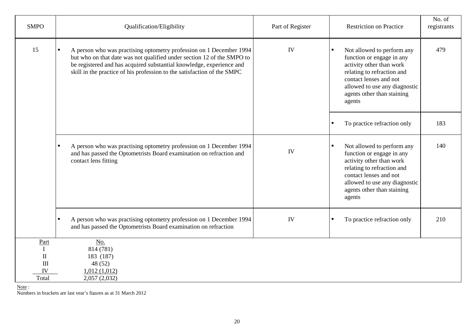| <b>SMPO</b>                                                                                | Qualification/Eligibility                                                                                                                                                                                                                                                                        | Part of Register | <b>Restriction on Practice</b>                                                                                                                                                                                       | No. of<br>registrants |
|--------------------------------------------------------------------------------------------|--------------------------------------------------------------------------------------------------------------------------------------------------------------------------------------------------------------------------------------------------------------------------------------------------|------------------|----------------------------------------------------------------------------------------------------------------------------------------------------------------------------------------------------------------------|-----------------------|
| 15                                                                                         | A person who was practising optometry profession on 1 December 1994<br>but who on that date was not qualified under section 12 of the SMPO to<br>be registered and has acquired substantial knowledge, experience and<br>skill in the practice of his profession to the satisfaction of the SMPC | IV               | Not allowed to perform any<br>function or engage in any<br>activity other than work<br>relating to refraction and<br>contact lenses and not<br>allowed to use any diagnostic<br>agents other than staining<br>agents | 479                   |
|                                                                                            |                                                                                                                                                                                                                                                                                                  |                  | To practice refraction only                                                                                                                                                                                          | 183                   |
|                                                                                            | A person who was practising optometry profession on 1 December 1994<br>$\bullet$<br>and has passed the Optometrists Board examination on refraction and<br>contact lens fitting                                                                                                                  | IV               | Not allowed to perform any<br>function or engage in any<br>activity other than work<br>relating to refraction and<br>contact lenses and not<br>allowed to use any diagnostic<br>agents other than staining<br>agents | 140                   |
|                                                                                            | A person who was practising optometry profession on 1 December 1994<br>$\bullet$<br>and has passed the Optometrists Board examination on refraction                                                                                                                                              | IV               | To practice refraction only                                                                                                                                                                                          | 210                   |
| Part<br>$\bf{I}$<br>$\mathbf{I}$<br>$\mathop{\mathrm{III}}\nolimits$<br><b>IV</b><br>Total | No.<br>814 (781)<br>183 (187)<br>48(52)<br>1,012(1,012)<br>2,057(2,032)                                                                                                                                                                                                                          |                  |                                                                                                                                                                                                                      |                       |

Note :

Numbers in brackets are last year's figures as at 31 March 2012